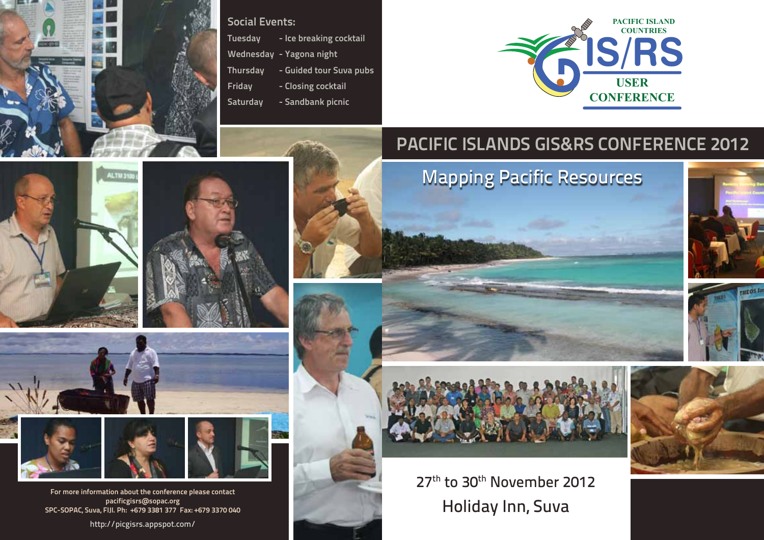

ALTM 310

# Social Events:

- Tuesday Ice breaking cocktail
- Wednesday Yagona night
- Thursday Guided tour Suva pubs
- Friday Closing cocktail
- Saturday Sandbank picnic



# Pacific Islands GIS&RS CONFERENCE 2012

Mapping Pacific Resources







Holiday Inn, Suva 27<sup>th</sup> to 30<sup>th</sup> November 2012



For more information about the conference please contact pacificgisrs@sopac.org SPC-SOPAC, Suva, FIJI. Ph: +679 3381 377 Fax: +679 3370 040

http://picgisrs.appspot.com/